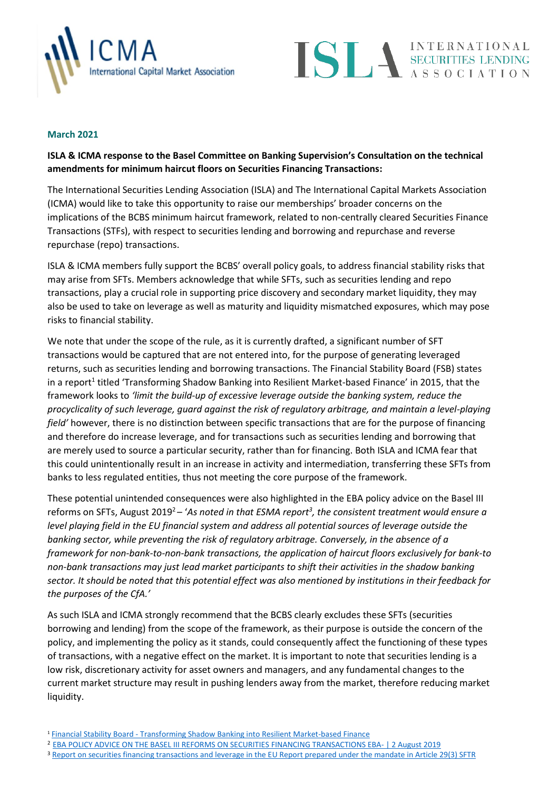



## **March 2021**

# **ISLA & ICMA response to the Basel Committee on Banking Supervision's Consultation on the technical amendments for minimum haircut floors on Securities Financing Transactions:**

The International Securities Lending Association (ISLA) and The International Capital Markets Association (ICMA) would like to take this opportunity to raise our memberships' broader concerns on the implications of the BCBS minimum haircut framework, related to non-centrally cleared Securities Finance Transactions (STFs), with respect to securities lending and borrowing and repurchase and reverse repurchase (repo) transactions.

ISLA & ICMA members fully support the BCBS' overall policy goals, to address financial stability risks that may arise from SFTs. Members acknowledge that while SFTs, such as securities lending and repo transactions, play a crucial role in supporting price discovery and secondary market liquidity, they may also be used to take on leverage as well as maturity and liquidity mismatched exposures, which may pose risks to financial stability.

We note that under the scope of the rule, as it is currently drafted, a significant number of SFT transactions would be captured that are not entered into, for the purpose of generating leveraged returns, such as securities lending and borrowing transactions. The Financial Stability Board (FSB) states in a report<sup>1</sup> titled 'Transforming Shadow Banking into Resilient Market-based Finance' in 2015, that the framework looks to *'limit the build-up of excessive leverage outside the banking system, reduce the procyclicality of such leverage, guard against the risk of regulatory arbitrage, and maintain a level-playing field'* however, there is no distinction between specific transactions that are for the purpose of financing and therefore do increase leverage, and for transactions such as securities lending and borrowing that are merely used to source a particular security, rather than for financing. Both ISLA and ICMA fear that this could unintentionally result in an increase in activity and intermediation, transferring these SFTs from banks to less regulated entities, thus not meeting the core purpose of the framework.

These potential unintended consequences were also highlighted in the EBA policy advice on the Basel III reforms on SFTs, August 2019<sup>2</sup> – 'As noted in that ESMA report<sup>3</sup>, the consistent treatment would ensure a *level playing field in the EU financial system and address all potential sources of leverage outside the banking sector, while preventing the risk of regulatory arbitrage. Conversely, in the absence of a framework for non-bank-to-non-bank transactions, the application of haircut floors exclusively for bank-to non-bank transactions may just lead market participants to shift their activities in the shadow banking sector. It should be noted that this potential effect was also mentioned by institutions in their feedback for the purposes of the CfA.'*

As such ISLA and ICMA strongly recommend that the BCBS clearly excludes these SFTs (securities borrowing and lending) from the scope of the framework, as their purpose is outside the concern of the policy, and implementing the policy as it stands, could consequently affect the functioning of these types of transactions, with a negative effect on the market. It is important to note that securities lending is a low risk, discretionary activity for asset owners and managers, and any fundamental changes to the current market structure may result in pushing lenders away from the market, therefore reducing market liquidity.

<sup>1</sup> Financial Stability Board - [Transforming Shadow Banking into Resilient Market-based Finance](https://www.fsb.org/wp-content/uploads/P070920-1.pdf)

<sup>2</sup> [EBA POLICY ADVICE ON THE BASEL III REFORMS ON SECURITIES FINANCING TRANSACTIONS EBA-](https://www.eba.europa.eu/sites/default/documents/files/documents/10180/2886865/870bbd5e-ae8f-4933-9f36-784c7183c7f4/Policy%20Advice%20on%20Basel%20III%20reforms%20-%20SFTs.pdf?retry=1) | 2 August 2019

<sup>3</sup> [Report on securities financing transactions and leverage in the EU Report prepared under the mandate in Article 29\(3\) SFTR](https://www.esma.europa.eu/sites/default/files/library/2016-1415_-_report_on_sfts_procyclicality_and_leverage.pdf)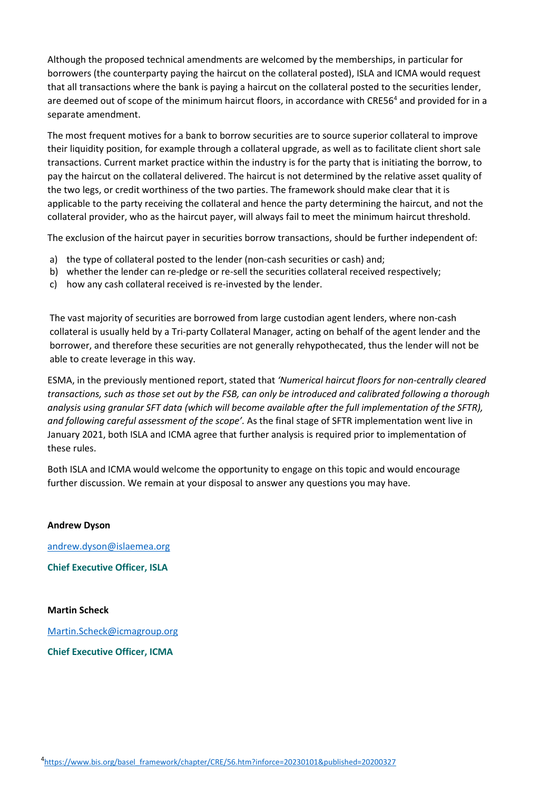Although the proposed technical amendments are welcomed by the memberships, in particular for borrowers (the counterparty paying the haircut on the collateral posted), ISLA and ICMA would request that all transactions where the bank is paying a haircut on the collateral posted to the securities lender, are deemed out of scope of the minimum haircut floors, in accordance with CRE56<sup>4</sup> and provided for in a separate amendment.

The most frequent motives for a bank to borrow securities are to source superior collateral to improve their liquidity position, for example through a collateral upgrade, as well as to facilitate client short sale transactions. Current market practice within the industry is for the party that is initiating the borrow, to pay the haircut on the collateral delivered. The haircut is not determined by the relative asset quality of the two legs, or credit worthiness of the two parties. The framework should make clear that it is applicable to the party receiving the collateral and hence the party determining the haircut, and not the collateral provider, who as the haircut payer, will always fail to meet the minimum haircut threshold.

The exclusion of the haircut payer in securities borrow transactions, should be further independent of:

- a) the type of collateral posted to the lender (non-cash securities or cash) and;
- b) whether the lender can re-pledge or re-sell the securities collateral received respectively;
- c) how any cash collateral received is re-invested by the lender.

The vast majority of securities are borrowed from large custodian agent lenders, where non-cash collateral is usually held by a Tri-party Collateral Manager, acting on behalf of the agent lender and the borrower, and therefore these securities are not generally rehypothecated, thus the lender will not be able to create leverage in this way.

ESMA, in the previously mentioned report, stated that *'Numerical haircut floors for non-centrally cleared transactions, such as those set out by the FSB, can only be introduced and calibrated following a thorough analysis using granular SFT data (which will become available after the full implementation of the SFTR), and following careful assessment of the scope'.* As the final stage of SFTR implementation went live in January 2021, both ISLA and ICMA agree that further analysis is required prior to implementation of these rules.

Both ISLA and ICMA would welcome the opportunity to engage on this topic and would encourage further discussion. We remain at your disposal to answer any questions you may have.

# **Andrew Dyson**

andrew.dyson@islaemea.org

**Chief Executive Officer, ISLA**

#### **Martin Scheck**

[Martin.Scheck@icmagroup.org](mailto:Martin.Scheck@icmagroup.org)

**Chief Executive Officer, ICMA**